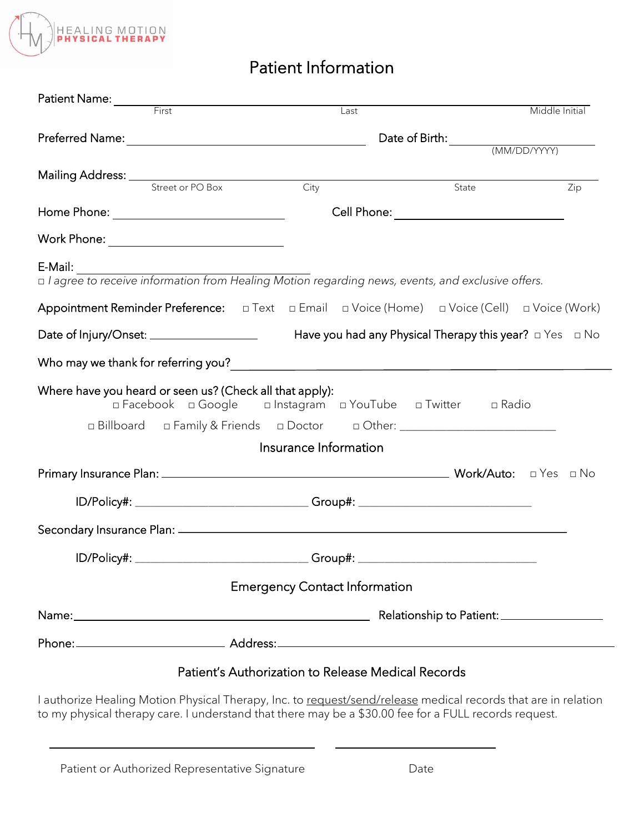

# Patient Information

| Patient Name: First                                                                                                  |                                                             |                                           |                |  |
|----------------------------------------------------------------------------------------------------------------------|-------------------------------------------------------------|-------------------------------------------|----------------|--|
|                                                                                                                      | Last                                                        |                                           | Middle Initial |  |
|                                                                                                                      |                                                             | Date of Birth: <u>(MM/DD/YYYY)</u>        |                |  |
|                                                                                                                      |                                                             |                                           |                |  |
| Mailing Address: <u>Street or PO Box</u> City                                                                        |                                                             | $\overline{State}$                        | Zip            |  |
|                                                                                                                      |                                                             | Cell Phone: _____________________________ |                |  |
|                                                                                                                      |                                                             |                                           |                |  |
| E-Mail:                                                                                                              |                                                             |                                           |                |  |
| <b>E-Mail:</b><br>□ l agree to receive information from Healing Motion regarding news, events, and exclusive offers. |                                                             |                                           |                |  |
|                                                                                                                      |                                                             |                                           |                |  |
|                                                                                                                      |                                                             |                                           |                |  |
|                                                                                                                      |                                                             |                                           |                |  |
| Where have you heard or seen us? (Check all that apply):                                                             | □ Facebook □ Google □ Instagram □ YouTube □ Twitter □ Radio |                                           |                |  |
| □ Billboard □ Family & Friends □ Doctor □ Other: ______________________________                                      |                                                             |                                           |                |  |
|                                                                                                                      | Insurance Information                                       |                                           |                |  |
|                                                                                                                      |                                                             |                                           |                |  |
| ID/Policy#: ____________________________Group#: ________________________________                                     |                                                             |                                           |                |  |
|                                                                                                                      |                                                             |                                           |                |  |
| ID/Policy#: _____________________________Group#: _______________________________                                     |                                                             |                                           |                |  |
|                                                                                                                      | <b>Emergency Contact Information</b>                        |                                           |                |  |
|                                                                                                                      |                                                             |                                           |                |  |
|                                                                                                                      |                                                             |                                           |                |  |
|                                                                                                                      | Patient's Authorization to Release Medical Records          |                                           |                |  |

I authorize Healing Motion Physical Therapy, Inc. to request/send/release medical records that are in relation to my physical therapy care. I understand that there may be a \$30.00 fee for a FULL records request.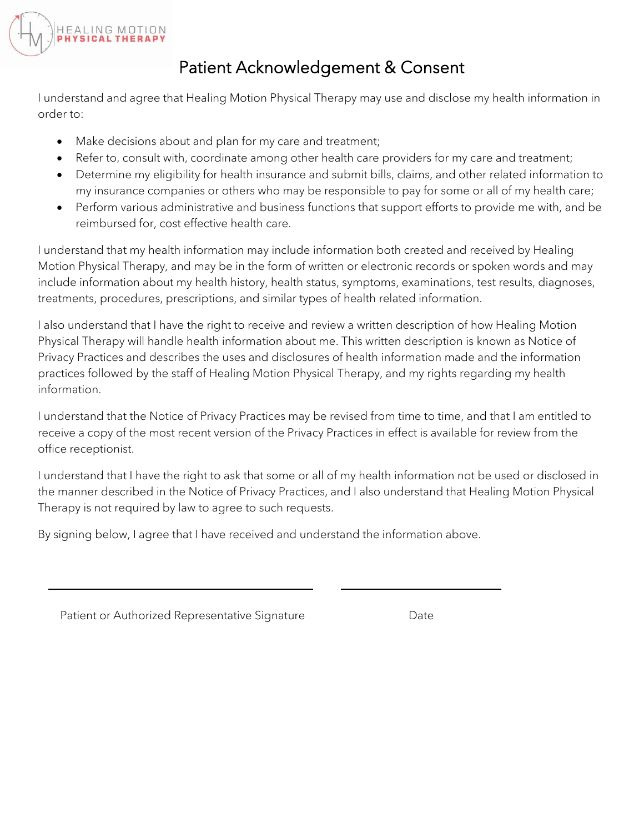

## Patient Acknowledgement & Consent

I understand and agree that Healing Motion Physical Therapy may use and disclose my health information in order to:

- Make decisions about and plan for my care and treatment;
- Refer to, consult with, coordinate among other health care providers for my care and treatment;
- Determine my eligibility for health insurance and submit bills, claims, and other related information to my insurance companies or others who may be responsible to pay for some or all of my health care;
- Perform various administrative and business functions that support efforts to provide me with, and be reimbursed for, cost effective health care.

I understand that my health information may include information both created and received by Healing Motion Physical Therapy, and may be in the form of written or electronic records or spoken words and may include information about my health history, health status, symptoms, examinations, test results, diagnoses, treatments, procedures, prescriptions, and similar types of health related information.

I also understand that I have the right to receive and review a written description of how Healing Motion Physical Therapy will handle health information about me. This written description is known as Notice of Privacy Practices and describes the uses and disclosures of health information made and the information practices followed by the staff of Healing Motion Physical Therapy, and my rights regarding my health information.

I understand that the Notice of Privacy Practices may be revised from time to time, and that I am entitled to receive a copy of the most recent version of the Privacy Practices in effect is available for review from the office receptionist.

I understand that I have the right to ask that some or all of my health information not be used or disclosed in the manner described in the Notice of Privacy Practices, and I also understand that Healing Motion Physical Therapy is not required by law to agree to such requests.

By signing below, I agree that I have received and understand the information above.

Patient or Authorized Representative Signature **Example 2018** Date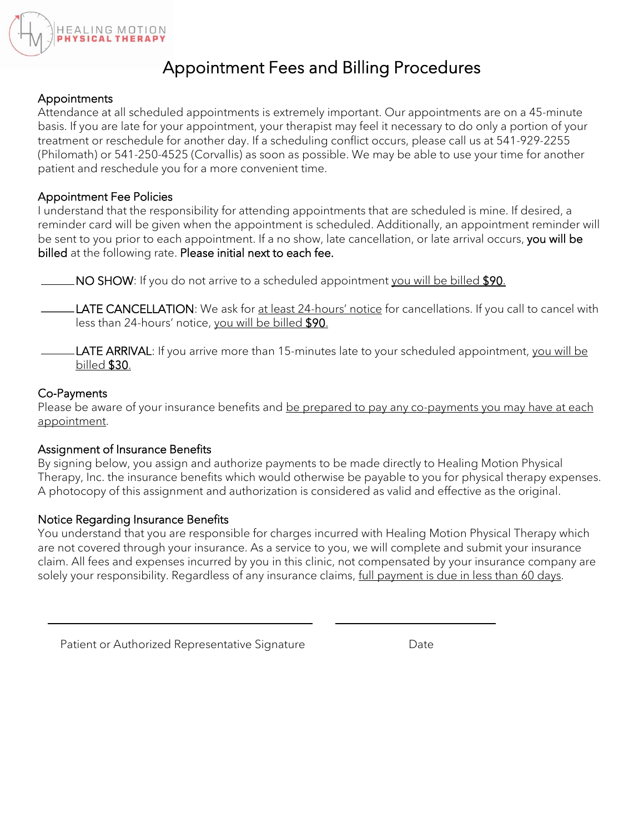

## Appointment Fees and Billing Procedures

## **Appointments**

Attendance at all scheduled appointments is extremely important. Our appointments are on a 45-minute basis. If you are late for your appointment, your therapist may feel it necessary to do only a portion of your treatment or reschedule for another day. If a scheduling conflict occurs, please call us at 541-929-2255 (Philomath) or 541-250-4525 (Corvallis) as soon as possible. We may be able to use your time for another patient and reschedule you for a more convenient time.

## Appointment Fee Policies

I understand that the responsibility for attending appointments that are scheduled is mine. If desired, a reminder card will be given when the appointment is scheduled. Additionally, an appointment reminder will be sent to you prior to each appointment. If a no show, late cancellation, or late arrival occurs, you will be billed at the following rate. Please initial next to each fee.

NO SHOW: If you do not arrive to a scheduled appointment you will be billed \$90.

LATE CANCELLATION: We ask for at least 24-hours' notice for cancellations. If you call to cancel with less than 24-hours' notice, you will be billed \$90.

LATE ARRIVAL: If you arrive more than 15-minutes late to your scheduled appointment, you will be billed \$30.

## Co-Payments

Please be aware of your insurance benefits and be prepared to pay any co-payments you may have at each appointment.

## Assignment of Insurance Benefits

By signing below, you assign and authorize payments to be made directly to Healing Motion Physical Therapy, Inc. the insurance benefits which would otherwise be payable to you for physical therapy expenses. A photocopy of this assignment and authorization is considered as valid and effective as the original.

## Notice Regarding Insurance Benefits

You understand that you are responsible for charges incurred with Healing Motion Physical Therapy which are not covered through your insurance. As a service to you, we will complete and submit your insurance claim. All fees and expenses incurred by you in this clinic, not compensated by your insurance company are solely your responsibility. Regardless of any insurance claims, full payment is due in less than 60 days.

Patient or Authorized Representative Signature **Example 2018** Date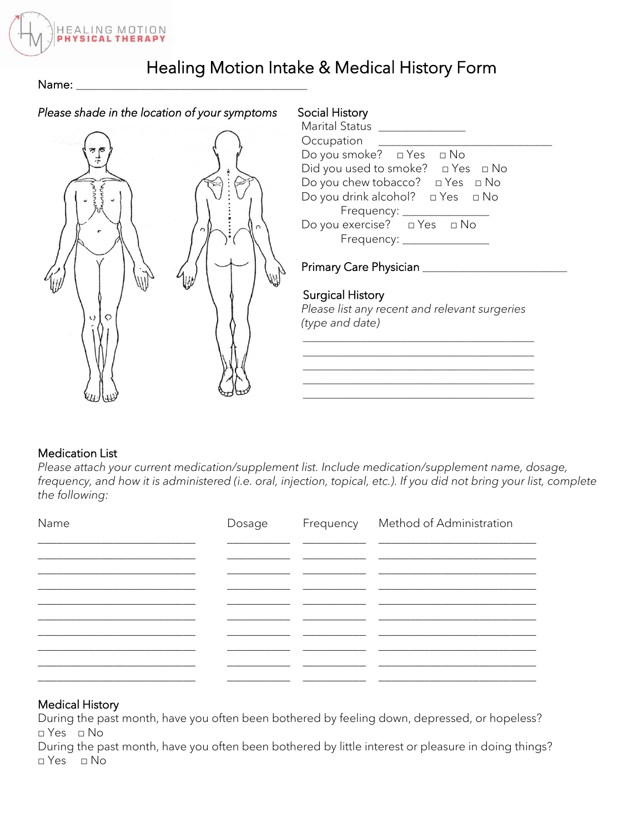

## Healing Motion Intake & Medical History Form

Name: \_

## *Please shade in the location of your symptoms* Social History



| Marital Status                              |
|---------------------------------------------|
| Occupation                                  |
| Do you smoke? □ Yes □ No                    |
| Did you used to smoke? $\Box$ Yes $\Box$ No |
| Do you chew tobacco? $\Box$ Yes $\Box$ No   |
| Do you drink alcohol? $\Box$ Yes $\Box$ No  |
| Frequency: __________                       |
| Do you exercise? □ Yes □ No                 |
| Frequency: _________________                |
|                                             |

## Primary Care Physician \_\_\_\_\_\_\_\_\_\_\_\_\_\_\_\_\_\_\_\_\_\_\_\_\_

## Surgical History

*Please list any recent and relevant surgeries (type and date)*

\_\_\_\_\_\_\_\_\_\_\_\_\_\_\_\_\_\_\_\_\_\_\_\_\_\_\_\_\_\_\_\_\_\_\_\_\_\_\_\_ \_\_\_\_\_\_\_\_\_\_\_\_\_\_\_\_\_\_\_\_\_\_\_\_\_\_\_\_\_\_\_\_\_\_\_\_\_\_\_\_

#### Medication List

*Please attach your current medication/supplement list. Include medication/supplement name, dosage, frequency, and how it is administered (i.e. oral, injection, topical, etc.). If you did not bring your list, complete the following:*

| Name | Dosage | Frequency Method of Administration |
|------|--------|------------------------------------|
|      |        |                                    |
|      |        |                                    |
|      |        |                                    |
|      |        |                                    |
|      |        |                                    |
|      |        |                                    |

## Medical History

During the past month, have you often been bothered by feeling down, depressed, or hopeless? □ Yes □ No

During the past month, have you often been bothered by little interest or pleasure in doing things?  $\neg$  Yes  $\Box$  No